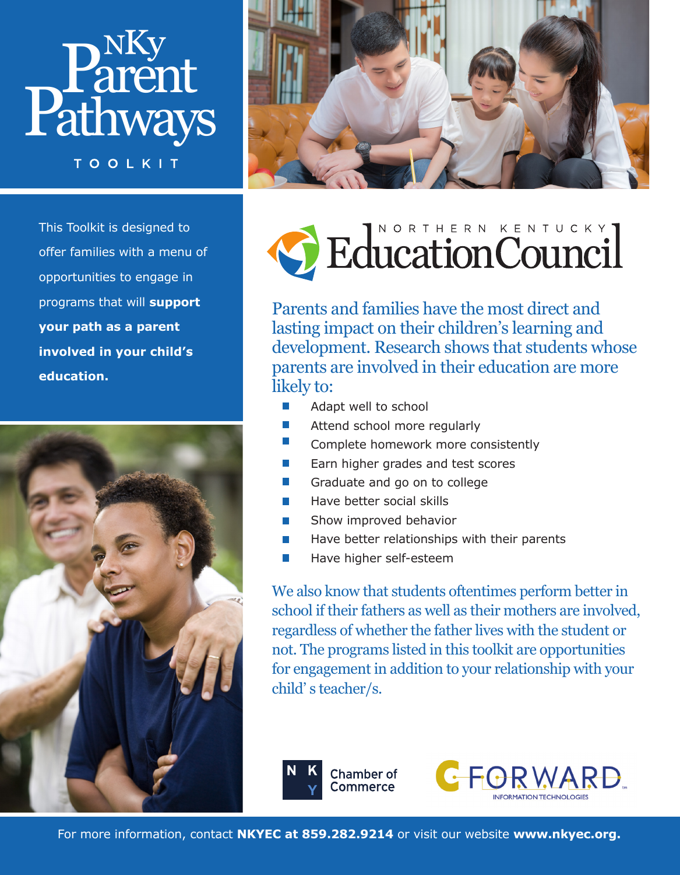

**TOOLKIT** 



This Toolkit is designed to offer families with a menu of opportunities to engage in programs that will **support your path as a parent involved in your child's education.**





Parents and families have the most direct and lasting impact on their children's learning and development. Research shows that students whose parents are involved in their education are more likely to:

- $\mathcal{L}_{\mathcal{A}}$ Adapt well to school
- $\mathcal{C}^{\mathcal{A}}$ Attend school more regularly
- $\mathcal{L}_{\mathcal{A}}$ Complete homework more consistently
- Earn higher grades and test scores  $\mathcal{L}_{\mathcal{A}}$
- $\mathcal{L}_{\mathcal{A}}$ Graduate and go on to college
- Have better social skills  $\mathcal{L}_{\mathcal{A}}$
- Show improved behavior  $\mathcal{C}^{\mathcal{A}}$
- Have better relationships with their parents
- $\mathcal{C}^{\mathcal{A}}$ Have higher self-esteem

We also know that students oftentimes perform better in school if their fathers as well as their mothers are involved, regardless of whether the father lives with the student or not. The programs listed in this toolkit are opportunities for engagement in addition to your relationship with your child' s teacher/s.



For more information, contact **NKYEC at 859.282.9214** or visit our website **www.nkyec.org.**